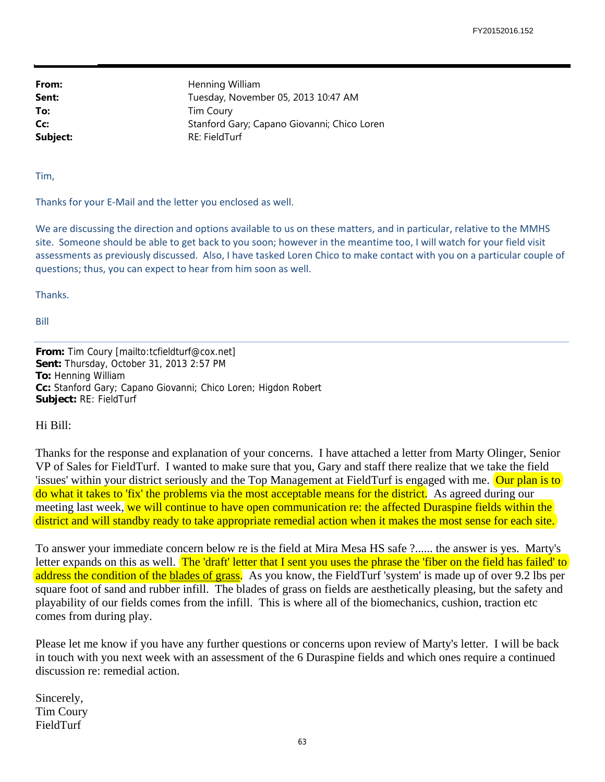From: Henning William Sent: Tuesday, November 05, 2013 10:47 AM **To:** Tim Coury **Cc:** Stanford Gary; Capano Giovanni; Chico Loren Subject: RE: FieldTurf

Tim,

Thanks for your E‐Mail and the letter you enclosed as well.

We are discussing the direction and options available to us on these matters, and in particular, relative to the MMHS site. Someone should be able to get back to you soon; however in the meantime too, I will watch for your field visit assessments as previously discussed. Also, I have tasked Loren Chico to make contact with you on a particular couple of questions; thus, you can expect to hear from him soon as well.

Thanks.

Bill

**From:** Tim Coury [mailto:tcfieldturf@cox.net] **Sent:** Thursday, October 31, 2013 2:57 PM **To:** Henning William **Cc:** Stanford Gary; Capano Giovanni; Chico Loren; Higdon Robert **Subject:** RE: FieldTurf

Hi Bill:

Thanks for the response and explanation of your concerns. I have attached a letter from Marty Olinger, Senior VP of Sales for FieldTurf. I wanted to make sure that you, Gary and staff there realize that we take the field 'issues' within your district seriously and the Top Management at FieldTurf is engaged with me. Our plan is to do what it takes to 'fix' the problems via the most acceptable means for the district. As agreed during our meeting last week, we will continue to have open communication re: the affected Duraspine fields within the district and will standby ready to take appropriate remedial action when it makes the most sense for each site.

To answer your immediate concern below re is the field at Mira Mesa HS safe ?...... the answer is yes. Marty's letter expands on this as well. The 'draft' letter that I sent you uses the phrase the 'fiber on the field has failed' to address the condition of the blades of grass. As you know, the FieldTurf 'system' is made up of over 9.2 lbs per square foot of sand and rubber infill. The blades of grass on fields are aesthetically pleasing, but the safety and playability of our fields comes from the infill. This is where all of the biomechanics, cushion, traction etc comes from during play.

Please let me know if you have any further questions or concerns upon review of Marty's letter. I will be back in touch with you next week with an assessment of the 6 Duraspine fields and which ones require a continued discussion re: remedial action.

Sincerely, Tim Coury FieldTurf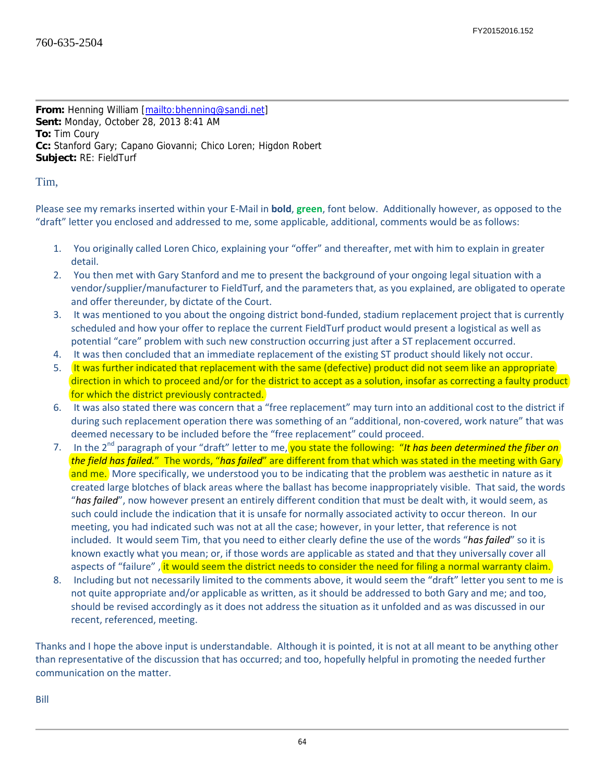**From:** Henning William [mailto:bhenning@sandi.net] **Sent:** Monday, October 28, 2013 8:41 AM **To:** Tim Coury **Cc:** Stanford Gary; Capano Giovanni; Chico Loren; Higdon Robert **Subject:** RE: FieldTurf

Tim,

Please see my remarks inserted within your E‐Mail in **bold**, **green**, font below. Additionally however, as opposed to the "draft" letter you enclosed and addressed to me, some applicable, additional, comments would be as follows:

- 1. You originally called Loren Chico, explaining your "offer" and thereafter, met with him to explain in greater detail.
- 2. You then met with Gary Stanford and me to present the background of your ongoing legal situation with a vendor/supplier/manufacturer to FieldTurf, and the parameters that, as you explained, are obligated to operate and offer thereunder, by dictate of the Court.
- 3. It was mentioned to you about the ongoing district bond‐funded, stadium replacement project that is currently scheduled and how your offer to replace the current FieldTurf product would present a logistical as well as potential "care" problem with such new construction occurring just after a ST replacement occurred.
- 4. It was then concluded that an immediate replacement of the existing ST product should likely not occur.
- 5. It was further indicated that replacement with the same (defective) product did not seem like an appropriate direction in which to proceed and/or for the district to accept as a solution, insofar as correcting a faulty product for which the district previously contracted.
- 6. It was also stated there was concern that a "free replacement" may turn into an additional cost to the district if during such replacement operation there was something of an "additional, non‐covered, work nature" that was deemed necessary to be included before the "free replacement" could proceed.
- 7. In the 2nd paragraph of your "draft" letter to me, you state the following: "*It has been determined the fiber on the field has failed.*" The words, "*has failed*" are different from that which was stated in the meeting with Gary and me. More specifically, we understood you to be indicating that the problem was aesthetic in nature as it created large blotches of black areas where the ballast has become inappropriately visible. That said, the words "*has failed*", now however present an entirely different condition that must be dealt with, it would seem, as such could include the indication that it is unsafe for normally associated activity to occur thereon. In our meeting, you had indicated such was not at all the case; however, in your letter, that reference is not included. It would seem Tim, that you need to either clearly define the use of the words "*has failed*" so it is known exactly what you mean; or, if those words are applicable as stated and that they universally cover all aspects of "failure" , it would seem the district needs to consider the need for filing a normal warranty claim.
- 8. Including but not necessarily limited to the comments above, it would seem the "draft" letter you sent to me is not quite appropriate and/or applicable as written, as it should be addressed to both Gary and me; and too, should be revised accordingly as it does not address the situation as it unfolded and as was discussed in our recent, referenced, meeting.

Thanks and I hope the above input is understandable. Although it is pointed, it is not at all meant to be anything other than representative of the discussion that has occurred; and too, hopefully helpful in promoting the needed further communication on the matter.

Bill